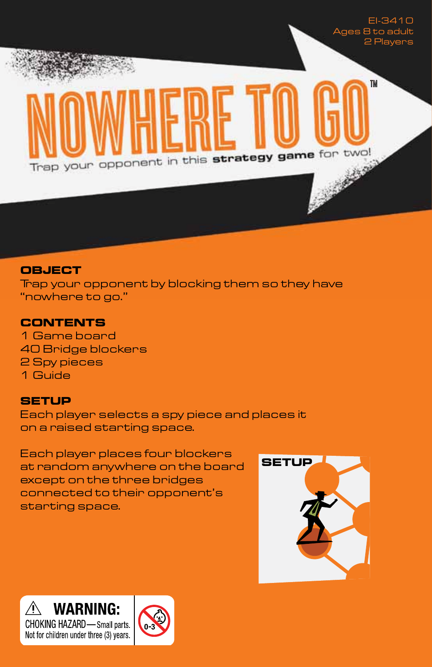

#### **OBJECT**

Trap your opponent by blocking them so they have "nowhere to go."

## **CONTENTS**

1 Game board 40 Bridge blockers 2 Spy pieces 1 Guide

### **SETUP**

Each player selects a spy piece and places it on a raised starting space.

Each player places four blockers at random anywhere on the board except on the three bridges connected to their opponent's starting space.